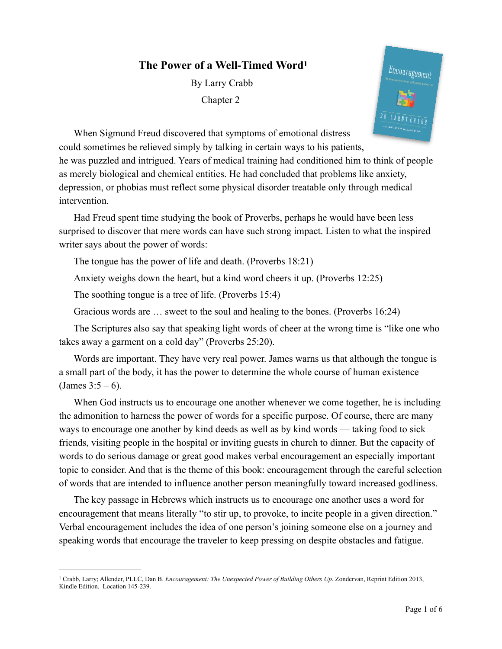# **The Power of a Well-Timed Word[1](#page-0-0)**

By Larry Crabb Chapter 2

<span id="page-0-1"></span>

When Sigmund Freud discovered that symptoms of emotional distress could sometimes be relieved simply by talking in certain ways to his patients, he was puzzled and intrigued. Years of medical training had conditioned him to think of people as merely biological and chemical entities. He had concluded that problems like anxiety, depression, or phobias must reflect some physical disorder treatable only through medical intervention.

Had Freud spent time studying the book of Proverbs, perhaps he would have been less surprised to discover that mere words can have such strong impact. Listen to what the inspired writer says about the power of words:

The tongue has the power of life and death. (Proverbs 18:21)

Anxiety weighs down the heart, but a kind word cheers it up. (Proverbs 12:25)

The soothing tongue is a tree of life. (Proverbs 15:4)

Gracious words are … sweet to the soul and healing to the bones. (Proverbs 16:24)

The Scriptures also say that speaking light words of cheer at the wrong time is "like one who takes away a garment on a cold day" (Proverbs 25:20).

Words are important. They have very real power. James warns us that although the tongue is a small part of the body, it has the power to determine the whole course of human existence (James  $3:5 - 6$ ).

When God instructs us to encourage one another whenever we come together, he is including the admonition to harness the power of words for a specific purpose. Of course, there are many ways to encourage one another by kind deeds as well as by kind words — taking food to sick friends, visiting people in the hospital or inviting guests in church to dinner. But the capacity of words to do serious damage or great good makes verbal encouragement an especially important topic to consider. And that is the theme of this book: encouragement through the careful selection of words that are intended to influence another person meaningfully toward increased godliness.

The key passage in Hebrews which instructs us to encourage one another uses a word for encouragement that means literally "to stir up, to provoke, to incite people in a given direction." Verbal encouragement includes the idea of one person's joining someone else on a journey and speaking words that encourage the traveler to keep pressing on despite obstacles and fatigue.

<span id="page-0-0"></span><sup>&</sup>lt;sup>[1](#page-0-1)</sup> Crabb, Larry; Allender, PLLC, Dan B. *Encouragement: The Unexpected Power of Building Others Up*. Zondervan, Reprint Edition 2013, Kindle Edition. Location 145-239.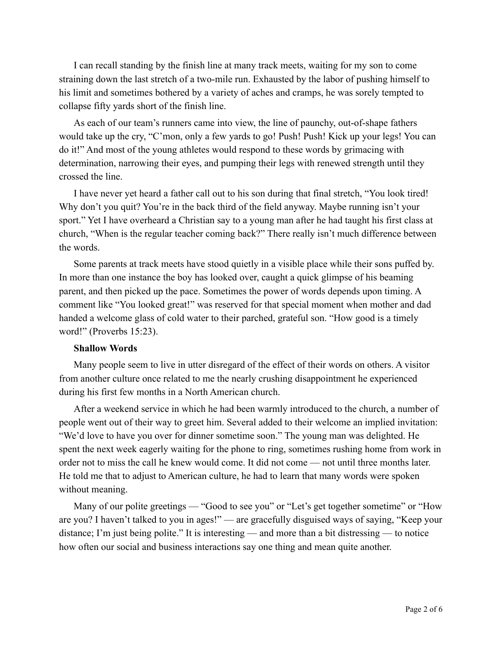I can recall standing by the finish line at many track meets, waiting for my son to come straining down the last stretch of a two-mile run. Exhausted by the labor of pushing himself to his limit and sometimes bothered by a variety of aches and cramps, he was sorely tempted to collapse fifty yards short of the finish line.

As each of our team's runners came into view, the line of paunchy, out-of-shape fathers would take up the cry, "C'mon, only a few yards to go! Push! Push! Kick up your legs! You can do it!" And most of the young athletes would respond to these words by grimacing with determination, narrowing their eyes, and pumping their legs with renewed strength until they crossed the line.

I have never yet heard a father call out to his son during that final stretch, "You look tired! Why don't you quit? You're in the back third of the field anyway. Maybe running isn't your sport." Yet I have overheard a Christian say to a young man after he had taught his first class at church, "When is the regular teacher coming back?" There really isn't much difference between the words.

Some parents at track meets have stood quietly in a visible place while their sons puffed by. In more than one instance the boy has looked over, caught a quick glimpse of his beaming parent, and then picked up the pace. Sometimes the power of words depends upon timing. A comment like "You looked great!" was reserved for that special moment when mother and dad handed a welcome glass of cold water to their parched, grateful son. "How good is a timely word!" (Proverbs 15:23).

#### **Shallow Words**

Many people seem to live in utter disregard of the effect of their words on others. A visitor from another culture once related to me the nearly crushing disappointment he experienced during his first few months in a North American church.

After a weekend service in which he had been warmly introduced to the church, a number of people went out of their way to greet him. Several added to their welcome an implied invitation: "We'd love to have you over for dinner sometime soon." The young man was delighted. He spent the next week eagerly waiting for the phone to ring, sometimes rushing home from work in order not to miss the call he knew would come. It did not come — not until three months later. He told me that to adjust to American culture, he had to learn that many words were spoken without meaning.

Many of our polite greetings — "Good to see you" or "Let's get together sometime" or "How are you? I haven't talked to you in ages!" — are gracefully disguised ways of saying, "Keep your distance; I'm just being polite." It is interesting — and more than a bit distressing — to notice how often our social and business interactions say one thing and mean quite another.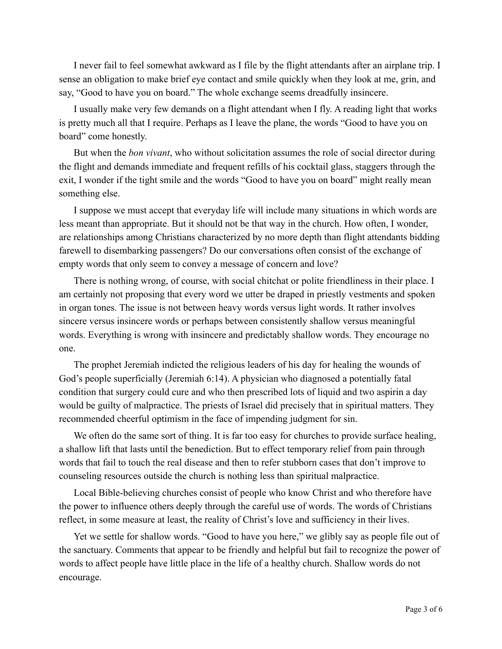I never fail to feel somewhat awkward as I file by the flight attendants after an airplane trip. I sense an obligation to make brief eye contact and smile quickly when they look at me, grin, and say, "Good to have you on board." The whole exchange seems dreadfully insincere.

I usually make very few demands on a flight attendant when I fly. A reading light that works is pretty much all that I require. Perhaps as I leave the plane, the words "Good to have you on board" come honestly.

But when the *bon vivant*, who without solicitation assumes the role of social director during the flight and demands immediate and frequent refills of his cocktail glass, staggers through the exit, I wonder if the tight smile and the words "Good to have you on board" might really mean something else.

I suppose we must accept that everyday life will include many situations in which words are less meant than appropriate. But it should not be that way in the church. How often, I wonder, are relationships among Christians characterized by no more depth than flight attendants bidding farewell to disembarking passengers? Do our conversations often consist of the exchange of empty words that only seem to convey a message of concern and love?

There is nothing wrong, of course, with social chitchat or polite friendliness in their place. I am certainly not proposing that every word we utter be draped in priestly vestments and spoken in organ tones. The issue is not between heavy words versus light words. It rather involves sincere versus insincere words or perhaps between consistently shallow versus meaningful words. Everything is wrong with insincere and predictably shallow words. They encourage no one.

The prophet Jeremiah indicted the religious leaders of his day for healing the wounds of God's people superficially (Jeremiah 6:14). A physician who diagnosed a potentially fatal condition that surgery could cure and who then prescribed lots of liquid and two aspirin a day would be guilty of malpractice. The priests of Israel did precisely that in spiritual matters. They recommended cheerful optimism in the face of impending judgment for sin.

We often do the same sort of thing. It is far too easy for churches to provide surface healing, a shallow lift that lasts until the benediction. But to effect temporary relief from pain through words that fail to touch the real disease and then to refer stubborn cases that don't improve to counseling resources outside the church is nothing less than spiritual malpractice.

Local Bible-believing churches consist of people who know Christ and who therefore have the power to influence others deeply through the careful use of words. The words of Christians reflect, in some measure at least, the reality of Christ's love and sufficiency in their lives.

Yet we settle for shallow words. "Good to have you here," we glibly say as people file out of the sanctuary. Comments that appear to be friendly and helpful but fail to recognize the power of words to affect people have little place in the life of a healthy church. Shallow words do not encourage.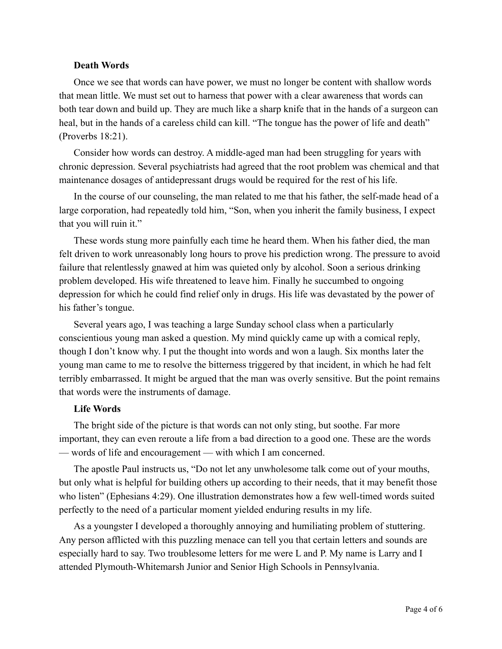### **Death Words**

Once we see that words can have power, we must no longer be content with shallow words that mean little. We must set out to harness that power with a clear awareness that words can both tear down and build up. They are much like a sharp knife that in the hands of a surgeon can heal, but in the hands of a careless child can kill. "The tongue has the power of life and death" (Proverbs 18:21).

Consider how words can destroy. A middle-aged man had been struggling for years with chronic depression. Several psychiatrists had agreed that the root problem was chemical and that maintenance dosages of antidepressant drugs would be required for the rest of his life.

In the course of our counseling, the man related to me that his father, the self-made head of a large corporation, had repeatedly told him, "Son, when you inherit the family business, I expect that you will ruin it."

These words stung more painfully each time he heard them. When his father died, the man felt driven to work unreasonably long hours to prove his prediction wrong. The pressure to avoid failure that relentlessly gnawed at him was quieted only by alcohol. Soon a serious drinking problem developed. His wife threatened to leave him. Finally he succumbed to ongoing depression for which he could find relief only in drugs. His life was devastated by the power of his father's tongue.

Several years ago, I was teaching a large Sunday school class when a particularly conscientious young man asked a question. My mind quickly came up with a comical reply, though I don't know why. I put the thought into words and won a laugh. Six months later the young man came to me to resolve the bitterness triggered by that incident, in which he had felt terribly embarrassed. It might be argued that the man was overly sensitive. But the point remains that words were the instruments of damage.

## **Life Words**

The bright side of the picture is that words can not only sting, but soothe. Far more important, they can even reroute a life from a bad direction to a good one. These are the words — words of life and encouragement — with which I am concerned.

The apostle Paul instructs us, "Do not let any unwholesome talk come out of your mouths, but only what is helpful for building others up according to their needs, that it may benefit those who listen" (Ephesians 4:29). One illustration demonstrates how a few well-timed words suited perfectly to the need of a particular moment yielded enduring results in my life.

As a youngster I developed a thoroughly annoying and humiliating problem of stuttering. Any person afflicted with this puzzling menace can tell you that certain letters and sounds are especially hard to say. Two troublesome letters for me were L and P. My name is Larry and I attended Plymouth-Whitemarsh Junior and Senior High Schools in Pennsylvania.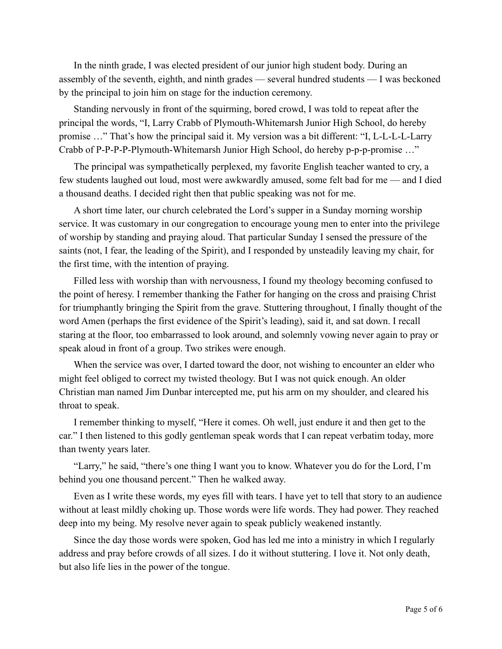In the ninth grade, I was elected president of our junior high student body. During an assembly of the seventh, eighth, and ninth grades — several hundred students — I was beckoned by the principal to join him on stage for the induction ceremony.

Standing nervously in front of the squirming, bored crowd, I was told to repeat after the principal the words, "I, Larry Crabb of Plymouth-Whitemarsh Junior High School, do hereby promise …" That's how the principal said it. My version was a bit different: "I, L-L-L-L-Larry Crabb of P-P-P-P-Plymouth-Whitemarsh Junior High School, do hereby p-p-p-promise …"

The principal was sympathetically perplexed, my favorite English teacher wanted to cry, a few students laughed out loud, most were awkwardly amused, some felt bad for me — and I died a thousand deaths. I decided right then that public speaking was not for me.

A short time later, our church celebrated the Lord's supper in a Sunday morning worship service. It was customary in our congregation to encourage young men to enter into the privilege of worship by standing and praying aloud. That particular Sunday I sensed the pressure of the saints (not, I fear, the leading of the Spirit), and I responded by unsteadily leaving my chair, for the first time, with the intention of praying.

Filled less with worship than with nervousness, I found my theology becoming confused to the point of heresy. I remember thanking the Father for hanging on the cross and praising Christ for triumphantly bringing the Spirit from the grave. Stuttering throughout, I finally thought of the word Amen (perhaps the first evidence of the Spirit's leading), said it, and sat down. I recall staring at the floor, too embarrassed to look around, and solemnly vowing never again to pray or speak aloud in front of a group. Two strikes were enough.

When the service was over, I darted toward the door, not wishing to encounter an elder who might feel obliged to correct my twisted theology. But I was not quick enough. An older Christian man named Jim Dunbar intercepted me, put his arm on my shoulder, and cleared his throat to speak.

I remember thinking to myself, "Here it comes. Oh well, just endure it and then get to the car." I then listened to this godly gentleman speak words that I can repeat verbatim today, more than twenty years later.

"Larry," he said, "there's one thing I want you to know. Whatever you do for the Lord, I'm behind you one thousand percent." Then he walked away.

Even as I write these words, my eyes fill with tears. I have yet to tell that story to an audience without at least mildly choking up. Those words were life words. They had power. They reached deep into my being. My resolve never again to speak publicly weakened instantly.

Since the day those words were spoken, God has led me into a ministry in which I regularly address and pray before crowds of all sizes. I do it without stuttering. I love it. Not only death, but also life lies in the power of the tongue.